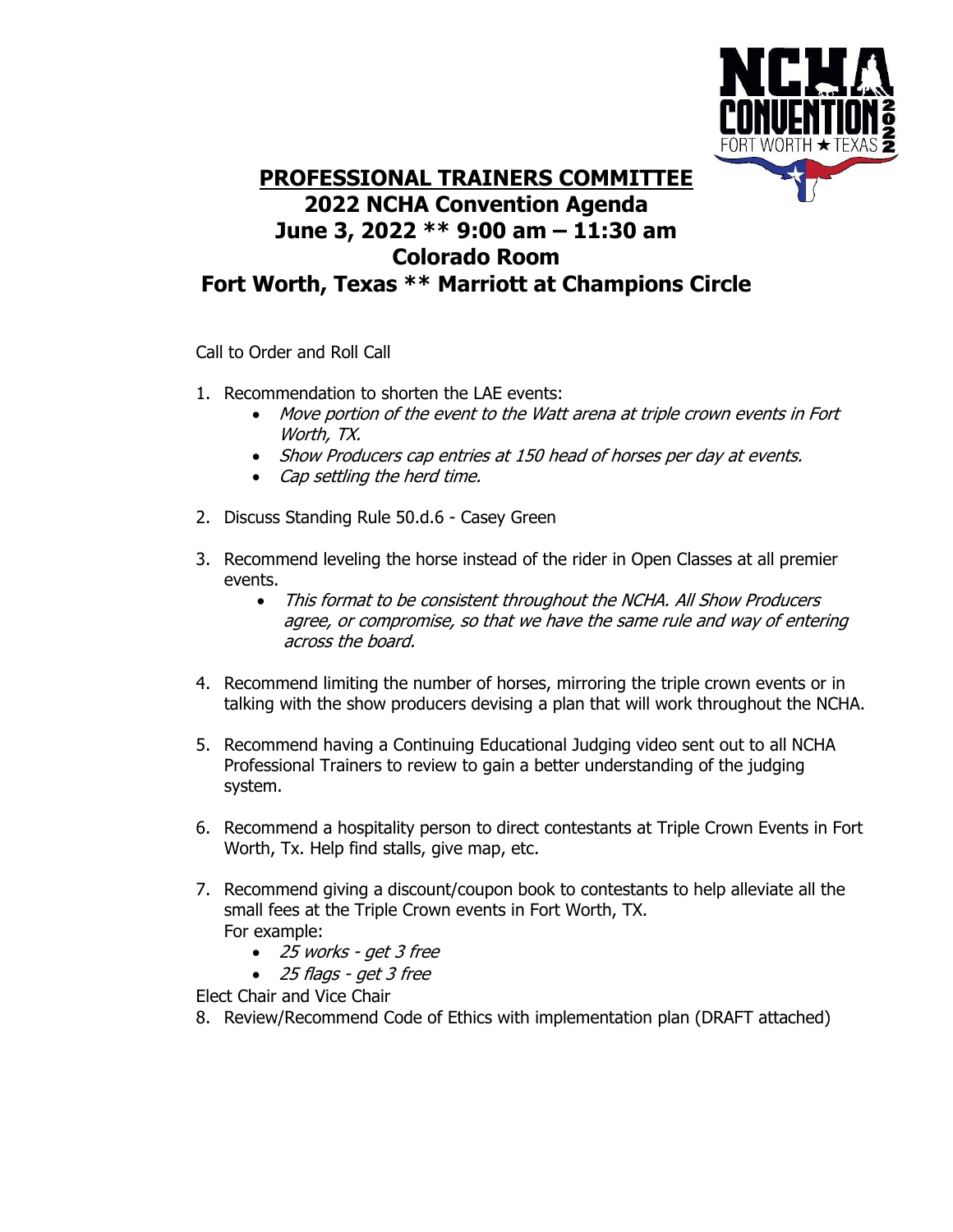

## **PROFESSIONAL TRAINERS COMMITTEE 2022 NCHA Convention Agenda June 3, 2022 \*\* 9:00 am – 11:30 am Colorado Room Fort Worth, Texas \*\* Marriott at Champions Circle**

Call to Order and Roll Call

- 1. Recommendation to shorten the LAE events:
	- Move portion of the event to the Watt arena at triple crown events in Fort Worth, TX.
	- Show Producers cap entries at 150 head of horses per day at events.
	- Cap settling the herd time.
- 2. Discuss Standing Rule 50.d.6 Casey Green
- 3. Recommend leveling the horse instead of the rider in Open Classes at all premier events.
	- This format to be consistent throughout the NCHA. All Show Producers agree, or compromise, so that we have the same rule and way of entering across the board.
- 4. Recommend limiting the number of horses, mirroring the triple crown events or in talking with the show producers devising a plan that will work throughout the NCHA.
- 5. Recommend having a Continuing Educational Judging video sent out to all NCHA Professional Trainers to review to gain a better understanding of the judging system.
- 6. Recommend a hospitality person to direct contestants at Triple Crown Events in Fort Worth, Tx. Help find stalls, give map, etc.
- 7. Recommend giving a discount/coupon book to contestants to help alleviate all the small fees at the Triple Crown events in Fort Worth, TX. For example:
	- 25 works get 3 free
	- 25 flags get 3 free

Elect Chair and Vice Chair

8. Review/Recommend Code of Ethics with implementation plan (DRAFT attached)